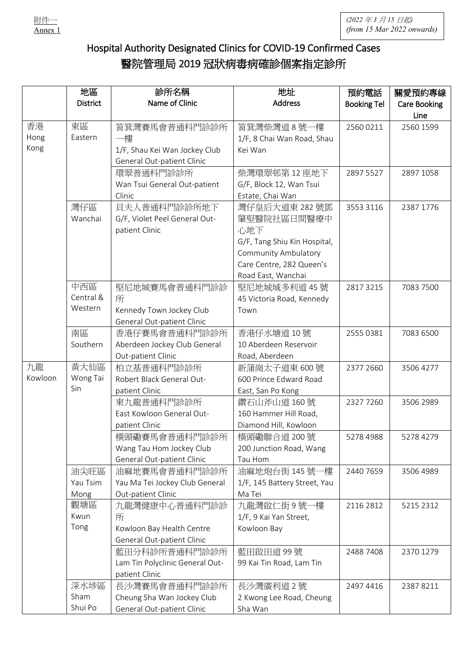

## Hospital Authority Designated Clinics for COVID-19 Confirmed Cases 醫院管理局 2019 冠狀病毒病確診個案指定診所

|         | 地區              | 診所名稱                            | 地址                           | 預約電話               | 關愛預約專線              |
|---------|-----------------|---------------------------------|------------------------------|--------------------|---------------------|
|         | <b>District</b> | Name of Clinic                  | <b>Address</b>               | <b>Booking Tel</b> | <b>Care Booking</b> |
|         |                 |                                 |                              |                    | Line                |
| 香港      | 東區              | 筲箕灣賽馬會普通科門診診所                   | 筲箕灣柴灣道8號一樓                   | 2560 0211          | 2560 1599           |
| Hong    | Eastern         | 一樓                              | 1/F, 8 Chai Wan Road, Shau   |                    |                     |
| Kong    |                 | 1/F, Shau Kei Wan Jockey Club   | Kei Wan                      |                    |                     |
|         |                 | General Out-patient Clinic      |                              |                    |                     |
|         |                 | 環翠普通科門診診所                       | 柴灣環翠邨第12座地下                  | 2897 5527          | 2897 1058           |
|         |                 | Wan Tsui General Out-patient    | G/F, Block 12, Wan Tsui      |                    |                     |
|         |                 | Clinic                          | Estate, Chai Wan             |                    |                     |
|         | 灣仔區             | 貝夫人普通科門診診所地下                    | 灣仔皇后大道東 282號鄧                | 3553 3116          | 2387 1776           |
|         | Wanchai         | G/F, Violet Peel General Out-   | 肇堅醫院社區日間醫療中                  |                    |                     |
|         |                 | patient Clinic                  | 心地下                          |                    |                     |
|         |                 |                                 | G/F, Tang Shiu Kin Hospital, |                    |                     |
|         |                 |                                 | <b>Community Ambulatory</b>  |                    |                     |
|         |                 |                                 | Care Centre, 282 Queen's     |                    |                     |
|         |                 |                                 | Road East, Wanchai           |                    |                     |
|         | 中西區             | 堅尼地城賽馬會普通科門診診                   | 堅尼地城域多利道 45號                 | 2817 3215          | 7083 7500           |
|         | Central &       | 所                               | 45 Victoria Road, Kennedy    |                    |                     |
|         | Western         | Kennedy Town Jockey Club        | Town                         |                    |                     |
|         |                 | General Out-patient Clinic      |                              |                    |                     |
|         | 南區              | 香港仔賽馬會普通科門診診所                   | 香港仔水塘道 10號                   | 2555 0381          | 7083 6500           |
|         | Southern        | Aberdeen Jockey Club General    | 10 Aberdeen Reservoir        |                    |                     |
|         |                 | Out-patient Clinic              | Road, Aberdeen               |                    |                     |
| 九龍      | 黄大仙區            | 柏立基普通科門診診所                      | 新蒲崗太子道東600號                  | 2377 2660          | 3506 4277           |
| Kowloon | Wong Tai        | Robert Black General Out-       | 600 Prince Edward Road       |                    |                     |
|         | Sin             | patient Clinic                  | East, San Po Kong            |                    |                     |
|         |                 | 東九龍普通科門診診所                      | 鑽石山斧山道 160號                  | 2327 7260          | 3506 2989           |
|         |                 | East Kowloon General Out-       | 160 Hammer Hill Road,        |                    |                     |
|         |                 | patient Clinic                  | Diamond Hill, Kowloon        |                    |                     |
|         |                 | 横頭磡賽馬會普通科門診診所                   | 横頭磡聯合道 200號                  | 5278 4988          | 5278 4279           |
|         |                 | Wang Tau Hom Jockey Club        | 200 Junction Road, Wang      |                    |                     |
|         |                 | General Out-patient Clinic      | Tau Hom                      |                    |                     |
|         | 油尖旺區            | 油麻地賽馬會普通科門診診所                   | 油麻地炮台街 145號一樓                | 2440 7659          | 3506 4989           |
|         | Yau Tsim        | Yau Ma Tei Jockey Club General  | 1/F, 145 Battery Street, Yau |                    |                     |
|         | Mong            | Out-patient Clinic              | Ma Tei                       |                    |                     |
|         | 觀塘區             | 九龍灣健康中心普通科門診診                   | 九龍灣啟仁街 9 號一樓                 | 2116 2812          | 5215 2312           |
|         | Kwun            | 所                               | 1/F, 9 Kai Yan Street,       |                    |                     |
|         | Tong            | Kowloon Bay Health Centre       | Kowloon Bay                  |                    |                     |
|         |                 | General Out-patient Clinic      |                              |                    |                     |
|         |                 | 藍田分科診所普通科門診診所                   | 藍田啟田道 99號                    | 2488 7408          | 2370 1279           |
|         |                 | Lam Tin Polyclinic General Out- | 99 Kai Tin Road, Lam Tin     |                    |                     |
|         |                 | patient Clinic                  |                              |                    |                     |
|         | 深水埗區            | 長沙灣賽馬會普通科門診診所                   | 長沙灣廣利道2號                     | 2497 4416          | 2387 8211           |
|         | Sham            | Cheung Sha Wan Jockey Club      | 2 Kwong Lee Road, Cheung     |                    |                     |
|         | Shui Po         | General Out-patient Clinic      | Sha Wan                      |                    |                     |